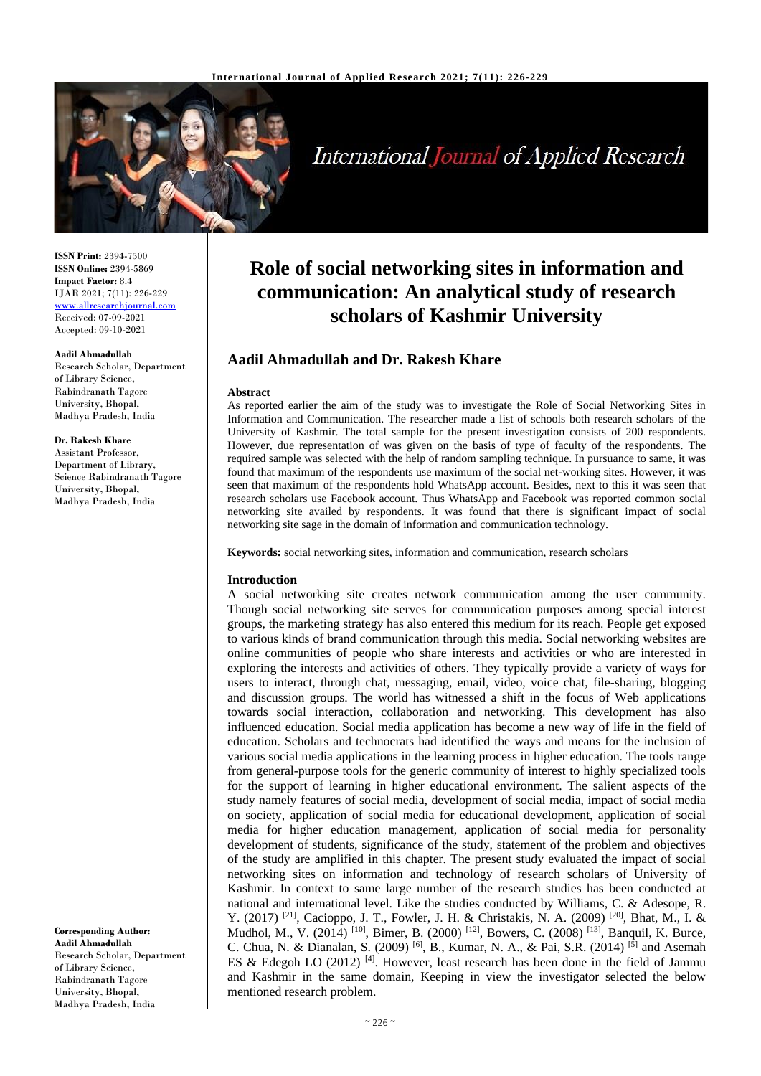

# **International Journal of Applied Research**

**ISSN Print:** 2394-7500 **ISSN Online:** 2394-5869 **Impact Factor:** 8.4 IJAR 2021; 7(11): 226-229 <www.allresearchjournal.com> Received: 07-09-2021 Accepted: 09-10-2021

#### **Aadil Ahmadullah**

Research Scholar, Department of Library Science, Rabindranath Tagore University, Bhopal, Madhya Pradesh, India

#### **Dr. Rakesh Khare**

Assistant Professor, Department of Library, Science Rabindranath Tagore University, Bhopal, Madhya Pradesh, India

**Corresponding Author: Aadil Ahmadullah** Research Scholar, Department of Library Science, Rabindranath Tagore University, Bhopal, Madhya Pradesh, India

# **Role of social networking sites in information and communication: An analytical study of research scholars of Kashmir University**

# **Aadil Ahmadullah and Dr. Rakesh Khare**

#### **Abstract**

As reported earlier the aim of the study was to investigate the Role of Social Networking Sites in Information and Communication. The researcher made a list of schools both research scholars of the University of Kashmir. The total sample for the present investigation consists of 200 respondents. However, due representation of was given on the basis of type of faculty of the respondents. The required sample was selected with the help of random sampling technique. In pursuance to same, it was found that maximum of the respondents use maximum of the social net-working sites. However, it was seen that maximum of the respondents hold WhatsApp account. Besides, next to this it was seen that research scholars use Facebook account. Thus WhatsApp and Facebook was reported common social networking site availed by respondents. It was found that there is significant impact of social networking site sage in the domain of information and communication technology.

**Keywords:** social networking sites, information and communication, research scholars

#### **Introduction**

A social networking site creates network communication among the user community. Though social networking site serves for communication purposes among special interest groups, the marketing strategy has also entered this medium for its reach. People get exposed to various kinds of brand communication through this media. Social networking websites are online communities of people who share interests and activities or who are interested in exploring the interests and activities of others. They typically provide a variety of ways for users to interact, through chat, messaging, email, video, voice chat, file-sharing, blogging and discussion groups. The world has witnessed a shift in the focus of Web applications towards social interaction, collaboration and networking. This development has also influenced education. Social media application has become a new way of life in the field of education. Scholars and technocrats had identified the ways and means for the inclusion of various social media applications in the learning process in higher education. The tools range from general-purpose tools for the generic community of interest to highly specialized tools for the support of learning in higher educational environment. The salient aspects of the study namely features of social media, development of social media, impact of social media on society, application of social media for educational development, application of social media for higher education management, application of social media for personality development of students, significance of the study, statement of the problem and objectives of the study are amplified in this chapter. The present study evaluated the impact of social networking sites on information and technology of research scholars of University of Kashmir. In context to same large number of the research studies has been conducted at national and international level. Like the studies conducted by Williams, C. & Adesope, R. Y. (2017) [21], Cacioppo, J. T., Fowler, J. H. & Christakis, N. A. (2009) [20], Bhat, M., I. & Mudhol, M., V. (2014) <sup>[10]</sup>, Bimer, B. (2000) <sup>[12]</sup>, Bowers, C. (2008) <sup>[13]</sup>, Banquil, K. Burce, C. Chua, N. & Dianalan, S. (2009) <sup>[6]</sup>, B., Kumar, N. A., & Pai, S.R. (2014) <sup>[5]</sup> and Asemah ES & Edegoh LO  $(2012)$  [4]. However, least research has been done in the field of Jammu and Kashmir in the same domain, Keeping in view the investigator selected the below mentioned research problem.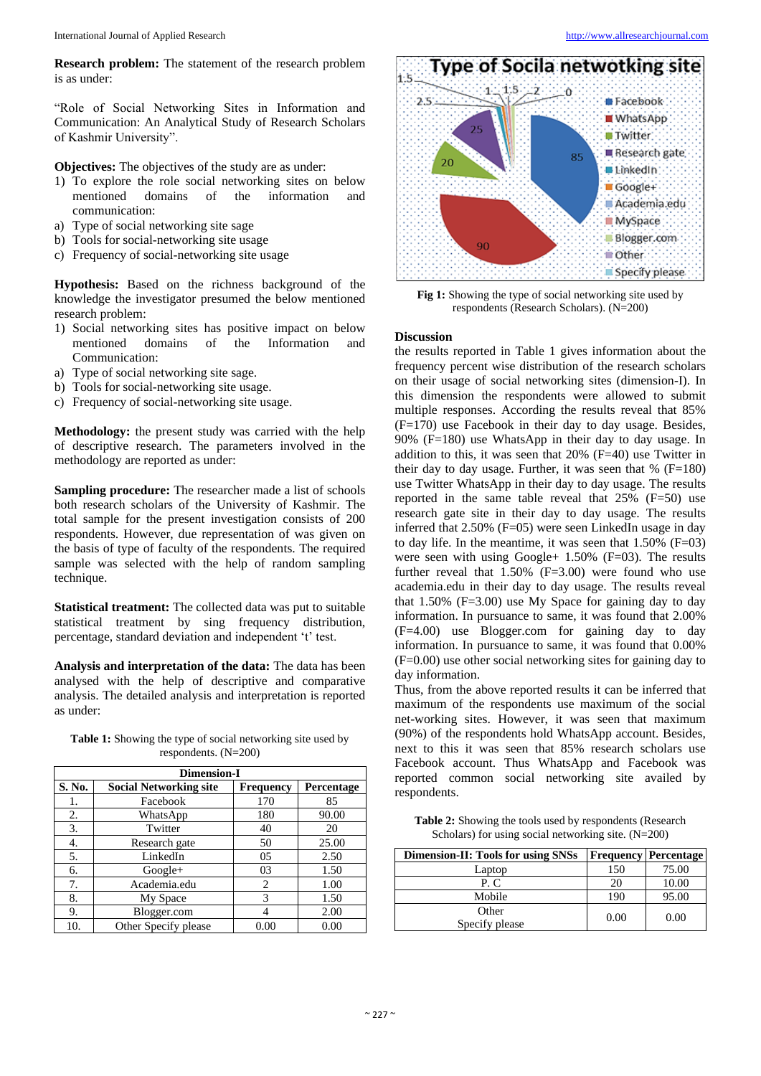**Research problem:** The statement of the research problem is as under:

"Role of Social Networking Sites in Information and Communication: An Analytical Study of Research Scholars of Kashmir University".

**Objectives:** The objectives of the study are as under:

- 1) To explore the role social networking sites on below mentioned domains of the information and communication:
- a) Type of social networking site sage
- b) Tools for social-networking site usage
- c) Frequency of social-networking site usage

**Hypothesis:** Based on the richness background of the knowledge the investigator presumed the below mentioned research problem:

- 1) Social networking sites has positive impact on below mentioned domains of the Information and Communication:
- a) Type of social networking site sage.
- b) Tools for social-networking site usage.
- c) Frequency of social-networking site usage.

**Methodology:** the present study was carried with the help of descriptive research. The parameters involved in the methodology are reported as under:

**Sampling procedure:** The researcher made a list of schools both research scholars of the University of Kashmir. The total sample for the present investigation consists of 200 respondents. However, due representation of was given on the basis of type of faculty of the respondents. The required sample was selected with the help of random sampling technique.

**Statistical treatment:** The collected data was put to suitable statistical treatment by sing frequency distribution, percentage, standard deviation and independent 't' test.

**Analysis and interpretation of the data:** The data has been analysed with the help of descriptive and comparative analysis. The detailed analysis and interpretation is reported as under:

| <b>Dimension-I</b> |                               |                  |                   |  |  |  |
|--------------------|-------------------------------|------------------|-------------------|--|--|--|
| S. No.             | <b>Social Networking site</b> | <b>Frequency</b> | <b>Percentage</b> |  |  |  |
| 1.                 | Facebook                      | 170              | 85                |  |  |  |
| 2.                 | WhatsApp                      | 180              | 90.00             |  |  |  |
| 3.                 | Twitter                       | 40               | 20                |  |  |  |
| 4.                 | Research gate                 | 50               | 25.00             |  |  |  |
| 5.                 | LinkedIn                      | 05               | 2.50              |  |  |  |
| 6.                 | $Google+$                     | 03               | 1.50              |  |  |  |
| 7.                 | Academia.edu                  | $\overline{c}$   | 1.00              |  |  |  |
| 8.                 | My Space                      | 3                | 1.50              |  |  |  |
| 9.                 | Blogger.com                   |                  | 2.00              |  |  |  |
| 10.                | Other Specify please          | 0.00             | 0.00              |  |  |  |

**Table 1:** Showing the type of social networking site used by respondents. (N=200)



**Fig 1:** Showing the type of social networking site used by respondents (Research Scholars). (N=200)

#### **Discussion**

the results reported in Table 1 gives information about the frequency percent wise distribution of the research scholars on their usage of social networking sites (dimension-I). In this dimension the respondents were allowed to submit multiple responses. According the results reveal that 85% (F=170) use Facebook in their day to day usage. Besides, 90% (F=180) use WhatsApp in their day to day usage. In addition to this, it was seen that 20% (F=40) use Twitter in their day to day usage. Further, it was seen that  $%$  (F=180) use Twitter WhatsApp in their day to day usage. The results reported in the same table reveal that  $25\%$  (F=50) use research gate site in their day to day usage. The results inferred that 2.50% (F=05) were seen LinkedIn usage in day to day life. In the meantime, it was seen that  $1.50\%$  (F=03) were seen with using  $Google + 1.50\%$  ( $F=03$ ). The results further reveal that  $1.50\%$  (F=3.00) were found who use academia.edu in their day to day usage. The results reveal that  $1.50\%$  (F=3.00) use My Space for gaining day to day information. In pursuance to same, it was found that 2.00% (F=4.00) use Blogger.com for gaining day to day information. In pursuance to same, it was found that 0.00% (F=0.00) use other social networking sites for gaining day to day information.

Thus, from the above reported results it can be inferred that maximum of the respondents use maximum of the social net-working sites. However, it was seen that maximum (90%) of the respondents hold WhatsApp account. Besides, next to this it was seen that 85% research scholars use Facebook account. Thus WhatsApp and Facebook was reported common social networking site availed by respondents.

**Table 2:** Showing the tools used by respondents (Research Scholars) for using social networking site. (N=200)

| Dimension-II: Tools for using SNSs |      | <b>Frequency Percentage</b> |
|------------------------------------|------|-----------------------------|
| Laptop                             | 150  | 75.00                       |
| P.C.                               | 20   | 10.00                       |
| Mobile                             | 190  | 95.00                       |
| Other<br>Specify please            | 0.00 | 0.00                        |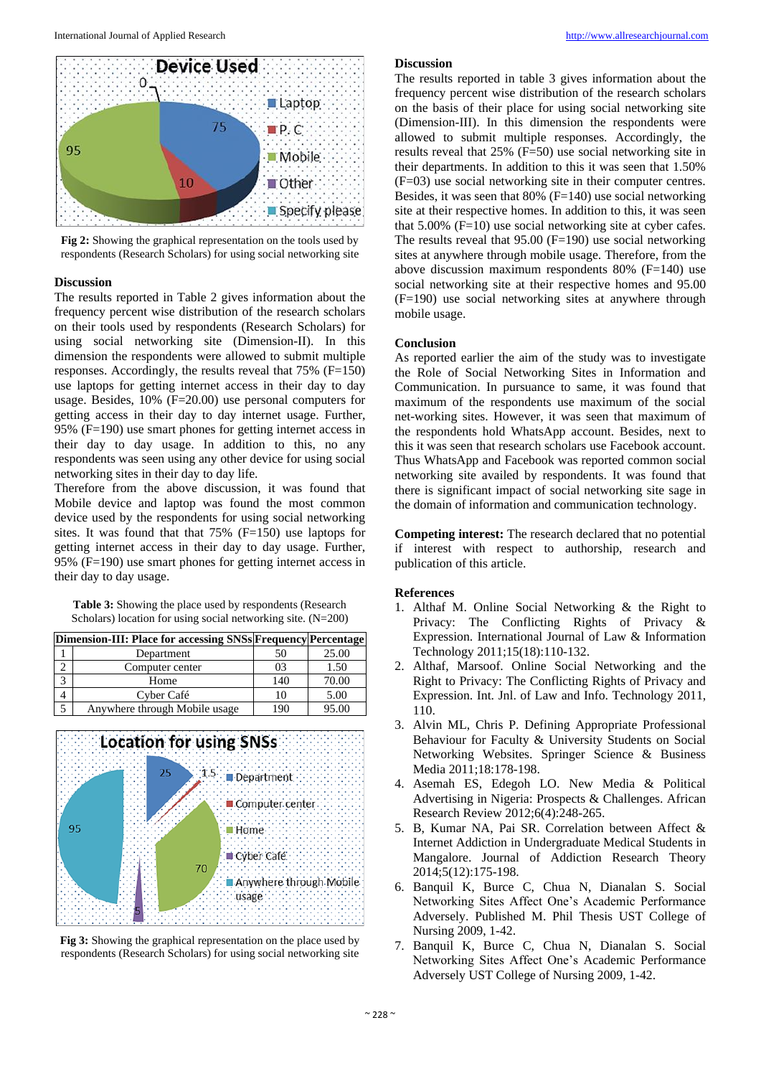

**Fig 2:** Showing the graphical representation on the tools used by respondents (Research Scholars) for using social networking site

# **Discussion**

The results reported in Table 2 gives information about the frequency percent wise distribution of the research scholars on their tools used by respondents (Research Scholars) for using social networking site (Dimension-II). In this dimension the respondents were allowed to submit multiple responses. Accordingly, the results reveal that  $75\%$  (F=150) use laptops for getting internet access in their day to day usage. Besides, 10% (F=20.00) use personal computers for getting access in their day to day internet usage. Further, 95% (F=190) use smart phones for getting internet access in their day to day usage. In addition to this, no any respondents was seen using any other device for using social networking sites in their day to day life.

Therefore from the above discussion, it was found that Mobile device and laptop was found the most common device used by the respondents for using social networking sites. It was found that that 75% (F=150) use laptops for getting internet access in their day to day usage. Further, 95% (F=190) use smart phones for getting internet access in their day to day usage.

**Table 3:** Showing the place used by respondents (Research Scholars) location for using social networking site. (N=200)

| Dimension-III: Place for accessing SNSs Frequency Percentage |                               |     |       |
|--------------------------------------------------------------|-------------------------------|-----|-------|
|                                                              | Department                    | 50  | 25.00 |
|                                                              | Computer center               | 03  | 1.50  |
|                                                              | Home                          | 140 | 70.00 |
|                                                              | Cyber Café                    | ю   | 5.00  |
|                                                              | Anywhere through Mobile usage | 190 | 95.00 |





# **Discussion**

The results reported in table 3 gives information about the frequency percent wise distribution of the research scholars on the basis of their place for using social networking site (Dimension-III). In this dimension the respondents were allowed to submit multiple responses. Accordingly, the results reveal that 25% (F=50) use social networking site in their departments. In addition to this it was seen that 1.50% (F=03) use social networking site in their computer centres. Besides, it was seen that  $80\%$  (F=140) use social networking site at their respective homes. In addition to this, it was seen that  $5.00\%$  (F=10) use social networking site at cyber cafes. The results reveal that  $95.00$  (F=190) use social networking sites at anywhere through mobile usage. Therefore, from the above discussion maximum respondents 80% (F=140) use social networking site at their respective homes and 95.00 (F=190) use social networking sites at anywhere through mobile usage.

### **Conclusion**

As reported earlier the aim of the study was to investigate the Role of Social Networking Sites in Information and Communication. In pursuance to same, it was found that maximum of the respondents use maximum of the social net-working sites. However, it was seen that maximum of the respondents hold WhatsApp account. Besides, next to this it was seen that research scholars use Facebook account. Thus WhatsApp and Facebook was reported common social networking site availed by respondents. It was found that there is significant impact of social networking site sage in the domain of information and communication technology.

**Competing interest:** The research declared that no potential if interest with respect to authorship, research and publication of this article.

# **References**

- 1. Althaf M. Online Social Networking & the Right to Privacy: The Conflicting Rights of Privacy & Expression. International Journal of Law & Information Technology 2011;15(18):110-132.
- 2. Althaf, Marsoof. Online Social Networking and the Right to Privacy: The Conflicting Rights of Privacy and Expression. Int. Jnl. of Law and Info. Technology 2011, 110.
- 3. Alvin ML, Chris P. Defining Appropriate Professional Behaviour for Faculty & University Students on Social Networking Websites. Springer Science & Business Media 2011;18:178-198.
- 4. Asemah ES, Edegoh LO. New Media & Political Advertising in Nigeria: Prospects & Challenges. African Research Review 2012;6(4):248-265.
- 5. B, Kumar NA, Pai SR. Correlation between Affect & Internet Addiction in Undergraduate Medical Students in Mangalore. Journal of Addiction Research Theory 2014;5(12):175-198.
- 6. Banquil K, Burce C, Chua N, Dianalan S. Social Networking Sites Affect One's Academic Performance Adversely. Published M. Phil Thesis UST College of Nursing 2009, 1-42.
- 7. Banquil K, Burce C, Chua N, Dianalan S. Social Networking Sites Affect One's Academic Performance Adversely UST College of Nursing 2009, 1-42.